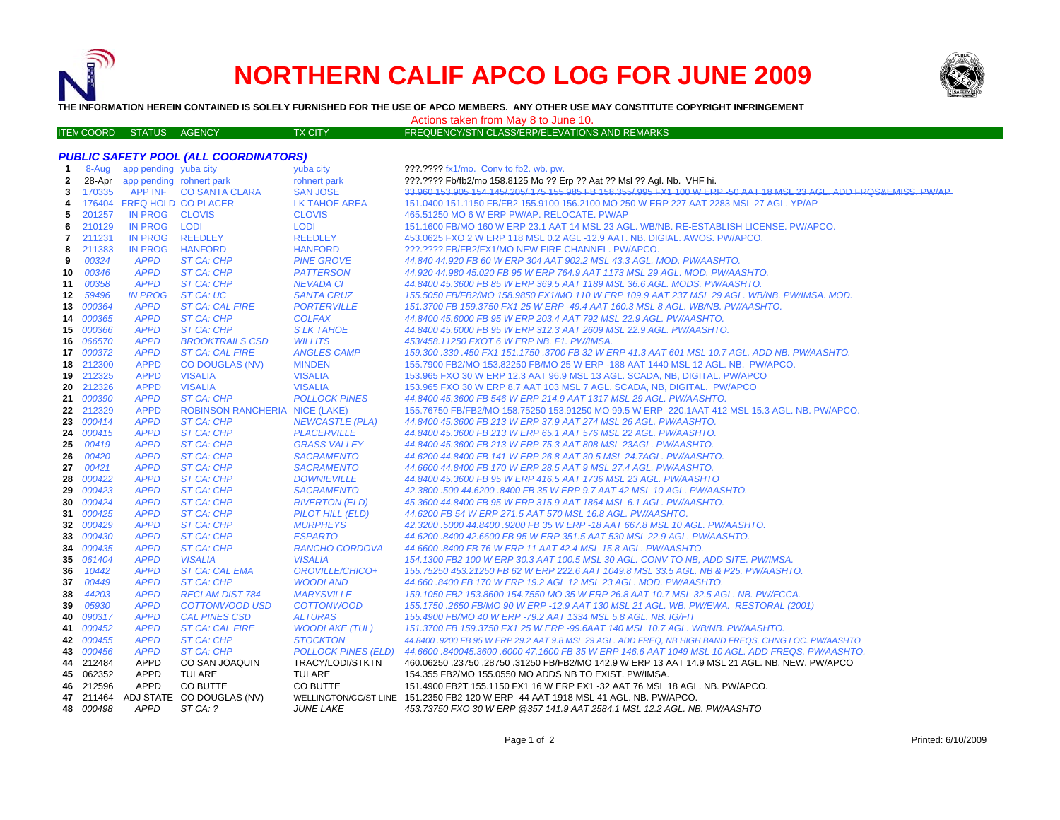

## **NORTHERN CALIF APCO LOG FOR JUNE 2009**



**THE INFORMATION HEREIN CONTAINED IS SOLELY FURNISHED FOR THE USE OF APCO MEMBERS. ANY OTHER USE MAY CONSTITUTE COPYRIGHT INFRINGEMENT**

Actions taken from May 8 to June 10.

| ITEN COORD STATUS AGENCY . |  | <b>TX CITY</b> | FREQUENCY/STN CLASS/ERP/ELEVATIONS AND REMARKS |
|----------------------------|--|----------------|------------------------------------------------|
|                            |  |                |                                                |

| <b>PUBLIC SAFETY POOL (ALL COORDINATORS)</b> |               |                                 |                                       |                            |                                                                                                                  |  |  |
|----------------------------------------------|---------------|---------------------------------|---------------------------------------|----------------------------|------------------------------------------------------------------------------------------------------------------|--|--|
| $\mathbf{1}$                                 |               | 8-Aug app pending yuba city     |                                       | yuba city                  | ???.???? fx1/mo. Conv to fb2. wb. pw.                                                                            |  |  |
| 2                                            |               | 28-Apr app pending rohnert park |                                       | rohnert park               | ???.???? Fb/fb2/mo 158.8125 Mo ?? Erp ?? Aat ?? Msl ?? Agl. Nb. VHF hi.                                          |  |  |
| 3                                            | 170335        |                                 | APP INF CO SANTA CLARA                | <b>SAN JOSE</b>            | 33.960 153.905 154.145/205/175 155.985 FB 158.355/995 FX1 100 W ERP -50 AAT 18 MSL 23 AGL. ADD FRQS&EMISS, PW/AP |  |  |
| 4                                            |               | 176404 FREQ HOLD CO PLACER      |                                       | LK TAHOE AREA              | 151.0400 151.1150 FB/FB2 155.9100 156.2100 MO 250 W ERP 227 AAT 2283 MSL 27 AGL. YP/AP                           |  |  |
| 5                                            | 201257        | IN PROG CLOVIS                  |                                       | <b>CLOVIS</b>              | 465.51250 MO 6 W ERP PW/AP. RELOCATE. PW/AP                                                                      |  |  |
| 6                                            | 210129        | IN PROG                         | <b>LODI</b>                           | <b>LODI</b>                | 151.1600 FB/MO 160 W ERP 23.1 AAT 14 MSL 23 AGL, WB/NB, RE-ESTABLISH LICENSE, PW/APCO,                           |  |  |
| 7                                            | 211231        | <b>IN PROG</b>                  | <b>REEDLEY</b>                        | <b>REEDLEY</b>             | 453.0625 FXO 2 W ERP 118 MSL 0.2 AGL -12.9 AAT. NB. DIGIAL. AWOS. PW/APCO.                                       |  |  |
| 8                                            | 211383        | <b>IN PROG</b>                  | <b>HANFORD</b>                        | <b>HANFORD</b>             | ???.???? FB/FB2/FX1/MO NEW FIRE CHANNEL. PW/APCO.                                                                |  |  |
| 9                                            | 00324         | <b>APPD</b>                     | <b>ST CA: CHP</b>                     | <b>PINE GROVE</b>          | 44.840 44.920 FB 60 W ERP 304 AAT 902.2 MSL 43.3 AGL. MOD. PW/AASHTO.                                            |  |  |
| 10                                           | 00346         | <b>APPD</b>                     | ST CA: CHP                            | <b>PATTERSON</b>           | 44.920 44.980 45.020 FB 95 W ERP 764.9 AAT 1173 MSL 29 AGL. MOD. PW/AASHTO.                                      |  |  |
| 11                                           | 00358         | <b>APPD</b>                     | ST CA: CHP                            | <b>NEVADA CI</b>           | 44.8400 45.3600 FB 85 W ERP 369.5 AAT 1189 MSL 36.6 AGL. MODS. PW/AASHTO.                                        |  |  |
| 12                                           | 59496         | IN PROG                         | ST CA: UC                             | <b>SANTA CRUZ</b>          | 155.5050 FB/FB2/MO 158.9850 FX1/MO 110 W ERP 109.9 AAT 237 MSL 29 AGL. WB/NB. PW/IMSA. MOD.                      |  |  |
|                                              | 13 000364     | <b>APPD</b>                     | <b>ST CA: CAL FIRE</b>                | <b>PORTERVILLE</b>         | 151.3700 FB 159.3750 FX1 25 W ERP -49.4 AAT 160.3 MSL 8 AGL. WB/NB. PW/AASHTO.                                   |  |  |
|                                              | 14 000365     | <b>APPD</b>                     | ST CA: CHP                            | <b>COLFAX</b>              | 44.8400 45.6000 FB 95 W ERP 203.4 AAT 792 MSL 22.9 AGL. PW/AASHTO.                                               |  |  |
|                                              | 15 000366     | <b>APPD</b>                     | ST CA: CHP                            | <b>SLK TAHOE</b>           | 44.8400 45.6000 FB 95 W ERP 312.3 AAT 2609 MSL 22.9 AGL. PW/AASHTO.                                              |  |  |
|                                              | 16 066570     | <b>APPD</b>                     | <b>BROOKTRAILS CSD</b>                | <b>WILLITS</b>             | 453/458.11250 FXOT 6 W ERP NB. F1. PW/IMSA.                                                                      |  |  |
|                                              | 17 000372     | <b>APPD</b>                     | <b>ST CA: CAL FIRE</b>                | <b>ANGLES CAMP</b>         | 159.300 .330 .450 FX1 151.1750 .3700 FB 32 W ERP 41.3 AAT 601 MSL 10.7 AGL. ADD NB. PW/AASHTO.                   |  |  |
|                                              | 18 212300     | <b>APPD</b>                     | <b>CO DOUGLAS (NV)</b>                | <b>MINDEN</b>              | 155.7900 FB2/MO 153.82250 FB/MO 25 W ERP -188 AAT 1440 MSL 12 AGL, NB. PW/APCO.                                  |  |  |
|                                              | 19 212325     | <b>APPD</b>                     | <b>VISALIA</b>                        | <b>VISALIA</b>             | 153.965 FXO 30 W ERP 12.3 AAT 96.9 MSL 13 AGL. SCADA, NB, DIGITAL. PW/APCO                                       |  |  |
|                                              | 20 212326     | <b>APPD</b>                     | <b>VISALIA</b>                        | <b>VISALIA</b>             | 153.965 FXO 30 W ERP 8.7 AAT 103 MSL 7 AGL. SCADA, NB, DIGITAL. PW/APCO                                          |  |  |
| 21                                           | <i>000390</i> | <b>APPD</b>                     | ST CA: CHP                            | <b>POLLOCK PINES</b>       | 44.8400 45.3600 FB 546 W ERP 214.9 AAT 1317 MSL 29 AGL. PW/AASHTO.                                               |  |  |
|                                              | 22 212329     | <b>APPD</b>                     | <b>ROBINSON RANCHERIA NICE (LAKE)</b> |                            | 155.76750 FB/FB2/MO 158.75250 153.91250 MO 99.5 W ERP -220.1AAT 412 MSL 15.3 AGL. NB. PW/APCO.                   |  |  |
| 23                                           | 000414        | <b>APPD</b>                     | <b>ST CA: CHP</b>                     | <b>NEWCASTLE (PLA)</b>     | 44.8400 45.3600 FB 213 W ERP 37.9 AAT 274 MSL 26 AGL. PW/AASHTO                                                  |  |  |
|                                              | 24 000415     | <b>APPD</b>                     | ST CA: CHP                            | <b>PLACERVILLE</b>         | 44.8400 45.3600 FB 213 W ERP 65.1 AAT 576 MSL 22 AGL. PW/AASHTO.                                                 |  |  |
| 25                                           | 00419         | <b>APPD</b>                     | ST CA: CHP                            | <b>GRASS VALLEY</b>        | 44.8400 45.3600 FB 213 W ERP 75.3 AAT 808 MSL 23AGL. PW/AASHTO.                                                  |  |  |
| 26                                           | 00420         | <b>APPD</b>                     | <b>ST CA: CHP</b>                     | <b>SACRAMENTO</b>          | 44.6200 44.8400 FB 141 W ERP 26.8 AAT 30.5 MSL 24.7AGL. PW/AASHTO.                                               |  |  |
| 27                                           | 00421         | <b>APPD</b>                     | ST CA: CHP                            | <b>SACRAMENTO</b>          | 44.6600 44.8400 FB 170 W ERP 28.5 AAT 9 MSL 27.4 AGL. PW/AASHTO.                                                 |  |  |
| 28                                           | 000422        | <b>APPD</b>                     | ST CA: CHP                            | <b>DOWNIEVILLE</b>         | 44.8400 45.3600 FB 95 W ERP 416.5 AAT 1736 MSL 23 AGL. PW/AASHTO                                                 |  |  |
| 29                                           | 000423        | <b>APPD</b>                     | ST CA: CHP                            | <b>SACRAMENTO</b>          | 42.3800.500 44.6200.8400 FB 35 W ERP 9.7 AAT 42 MSL 10 AGL. PW/AASHTO.                                           |  |  |
|                                              | 30 000424     | <b>APPD</b>                     | <b>ST CA: CHP</b>                     | <b>RIVERTON (ELD)</b>      | 45.3600 44.8400 FB 95 W ERP 315.9 AAT 1864 MSL 6.1 AGL. PW/AASHTO.                                               |  |  |
|                                              | 31 000425     | <b>APPD</b>                     | ST CA: CHP                            | PILOT HILL (ELD)           | 44.6200 FB 54 W ERP 271.5 AAT 570 MSL 16.8 AGL, PW/AASHTO.                                                       |  |  |
|                                              | 32 000429     | <b>APPD</b>                     | ST CA: CHP                            | <b>MURPHEYS</b>            | 42.3200.5000 44.8400.9200 FB 35 W ERP -18 AAT 667.8 MSL 10 AGL. PW/AASHTO.                                       |  |  |
| 33                                           | 000430        | <b>APPD</b>                     | <b>ST CA: CHP</b>                     | <b>ESPARTO</b>             | 44.6200 .8400 42.6600 FB 95 W ERP 351.5 AAT 530 MSL 22.9 AGL. PW/AASHTO.                                         |  |  |
|                                              | 34 000435     | <b>APPD</b>                     | <b>ST CA: CHP</b>                     | <b>RANCHO CORDOVA</b>      | 44.6600.8400 FB 76 W ERP 11 AAT 42.4 MSL 15.8 AGL. PW/AASHTO.                                                    |  |  |
|                                              | 35 061404     | <b>APPD</b>                     | <b>VISALIA</b>                        | <b>VISALIA</b>             | 154.1300 FB2 100 W ERP 30.3 AAT 100.5 MSL 30 AGL. CONV TO NB, ADD SITE. PW/IMSA.                                 |  |  |
| 36                                           | 10442         | <b>APPD</b>                     | <b>ST CA: CAL EMA</b>                 | OROVILLE/CHICO+            | 155.75250 453.21250 FB 62 W ERP 222.6 AAT 1049.8 MSL 33.5 AGL. NB & P25. PW/AASHTO.                              |  |  |
| 37                                           | 00449         | <b>APPD</b>                     | ST CA: CHP                            | <b>WOODLAND</b>            | 44.660 .8400 FB 170 W ERP 19.2 AGL 12 MSL 23 AGL. MOD. PW/AASHTO.                                                |  |  |
| 38                                           | 44203         | <b>APPD</b>                     | <b>RECLAM DIST 784</b>                | <b>MARYSVILLE</b>          | 159.1050 FB2 153.8600 154.7550 MO 35 W ERP 26.8 AAT 10.7 MSL 32.5 AGL. NB. PW/FCCA.                              |  |  |
| 39                                           | 05930         | <b>APPD</b>                     | COTTONWOOD USD                        | <b>COTTONWOOD</b>          | 155.1750.2650 FB/MO 90 W ERP -12.9 AAT 130 MSL 21 AGL. WB. PW/EWA. RESTORAL (2001)                               |  |  |
| 40                                           | 090317        | <b>APPD</b>                     | <b>CAL PINES CSD</b>                  | <b>ALTURAS</b>             | 155.4900 FB/MO 40 W ERP -79.2 AAT 1334 MSL 5.8 AGL. NB. IG/FIT                                                   |  |  |
|                                              | 41 000452     | <b>APPD</b>                     | <b>ST CA: CAL FIRE</b>                | <b>WOODLAKE (TUL)</b>      | 151.3700 FB 159.3750 FX1 25 W ERP -99.6AAT 140 MSL 10.7 AGL. WB/NB. PW/AASHTO.                                   |  |  |
|                                              | 42 000455     | <b>APPD</b>                     | <b>ST CA: CHP</b>                     | <b>STOCKTON</b>            | 44.8400 .9200 FB 95 W ERP 29.2 AAT 9.8 MSL 29 AGL. ADD FREQ, NB HIGH BAND FREQS, CHNG LOC. PW/AASHTO             |  |  |
|                                              | 43 000456     | <b>APPD</b>                     | ST CA: CHP                            | <b>POLLOCK PINES (ELD)</b> | 44.6600 .840045.3600 .6000 47.1600 FB 35 W ERP 146.6 AAT 1049 MSL 10 AGL. ADD FREQS. PW/AASHTO.                  |  |  |
|                                              | 44 212484     | <b>APPD</b>                     | CO SAN JOAQUIN                        | TRACY/LODI/STKTN           | 460.06250 .23750 .28750 .31250 FB/FB2/MO 142.9 W ERP 13 AAT 14.9 MSL 21 AGL. NB. NEW. PW/APCO                    |  |  |
|                                              | 45 062352     | APPD                            | TULARE                                | <b>TULARE</b>              | 154.355 FB2/MO 155.0550 MO ADDS NB TO EXIST. PW/IMSA.                                                            |  |  |
|                                              | 46 212596     | APPD                            | CO BUTTE                              | CO BUTTE                   | 151.4900 FB2T 155.1150 FX1 16 W ERP FX1 -32 AAT 76 MSL 18 AGL. NB. PW/APCO.                                      |  |  |
| 47                                           | 211464        |                                 | ADJ STATE CO DOUGLAS (NV)             |                            | WELLINGTON/CC/ST LINE 151.2350 FB2 120 W ERP -44 AAT 1918 MSL 41 AGL. NB. PW/APCO.                               |  |  |
|                                              | 48 000498     | <b>APPD</b>                     | ST CA: ?                              | <b>JUNE LAKE</b>           | 453.73750 FXO 30 W ERP @357 141.9 AAT 2584.1 MSL 12.2 AGL. NB. PW/AASHTO                                         |  |  |